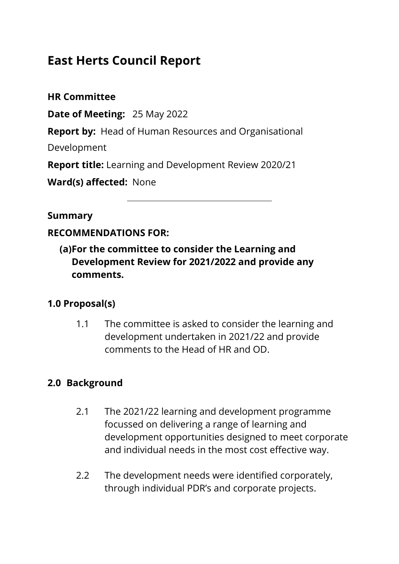# **East Herts Council Report**

**HR Committee**

**Date of Meeting:** 25 May 2022

**Report by:** Head of Human Resources and Organisational

Development

**Report title:** Learning and Development Review 2020/21

**Ward(s) affected:** None

**Summary**

#### **RECOMMENDATIONS FOR:**

**(a)For the committee to consider the Learning and Development Review for 2021/2022 and provide any comments.** 

#### **1.0 Proposal(s)**

1.1 The committee is asked to consider the learning and development undertaken in 2021/22 and provide comments to the Head of HR and OD.

# **2.0 Background**

- 2.1 The 2021/22 learning and development programme focussed on delivering a range of learning and development opportunities designed to meet corporate and individual needs in the most cost effective way.
- 2.2 The development needs were identified corporately, through individual PDR's and corporate projects.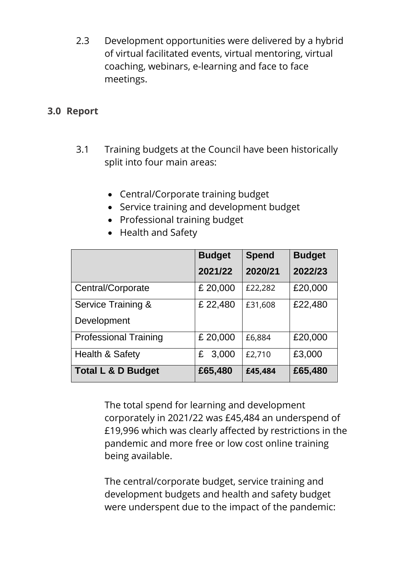2.3 Development opportunities were delivered by a hybrid of virtual facilitated events, virtual mentoring, virtual coaching, webinars, e-learning and face to face meetings.

#### **3.0 Report**

- 3.1 Training budgets at the Council have been historically split into four main areas:
	- Central/Corporate training budget
	- Service training and development budget
	- Professional training budget

|                               | <b>Budget</b> | <b>Spend</b> | <b>Budget</b> |
|-------------------------------|---------------|--------------|---------------|
|                               | 2021/22       | 2020/21      | 2022/23       |
| Central/Corporate             | £ 20,000      | £22,282      | £20,000       |
| <b>Service Training &amp;</b> | £ 22,480      | £31,608      | £22,480       |
| Development                   |               |              |               |
| <b>Professional Training</b>  | £ 20,000      | £6,884       | £20,000       |
| <b>Health &amp; Safety</b>    | 3,000<br>£    | £2,710       | £3,000        |
| <b>Total L &amp; D Budget</b> | £65,480       | £45,484      | £65,480       |

• Health and Safety

The total spend for learning and development corporately in 2021/22 was £45,484 an underspend of £19,996 which was clearly affected by restrictions in the pandemic and more free or low cost online training being available.

The central/corporate budget, service training and development budgets and health and safety budget were underspent due to the impact of the pandemic: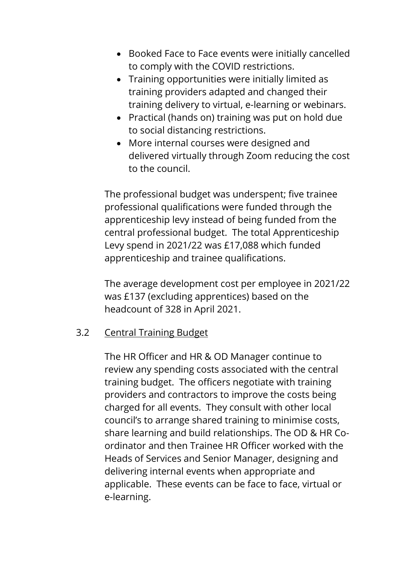- Booked Face to Face events were initially cancelled to comply with the COVID restrictions.
- Training opportunities were initially limited as training providers adapted and changed their training delivery to virtual, e-learning or webinars.
- Practical (hands on) training was put on hold due to social distancing restrictions.
- More internal courses were designed and delivered virtually through Zoom reducing the cost to the council.

The professional budget was underspent; five trainee professional qualifications were funded through the apprenticeship levy instead of being funded from the central professional budget. The total Apprenticeship Levy spend in 2021/22 was £17,088 which funded apprenticeship and trainee qualifications.

The average development cost per employee in 2021/22 was £137 (excluding apprentices) based on the headcount of 328 in April 2021.

#### 3.2 Central Training Budget

The HR Officer and HR & OD Manager continue to review any spending costs associated with the central training budget. The officers negotiate with training providers and contractors to improve the costs being charged for all events. They consult with other local council's to arrange shared training to minimise costs, share learning and build relationships. The OD & HR Coordinator and then Trainee HR Officer worked with the Heads of Services and Senior Manager, designing and delivering internal events when appropriate and applicable. These events can be face to face, virtual or e-learning.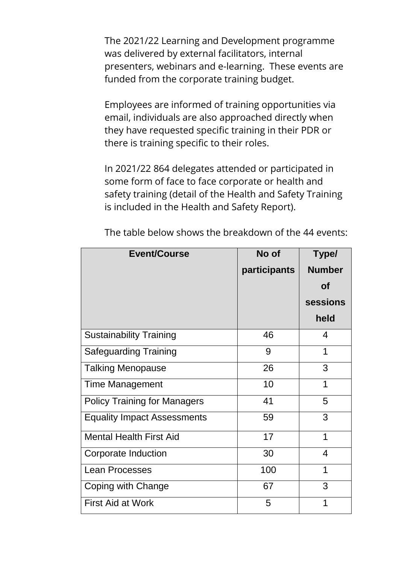The 2021/22 Learning and Development programme was delivered by external facilitators, internal presenters, webinars and e-learning. These events are funded from the corporate training budget.

Employees are informed of training opportunities via email, individuals are also approached directly when they have requested specific training in their PDR or there is training specific to their roles.

In 2021/22 864 delegates attended or participated in some form of face to face corporate or health and safety training (detail of the Health and Safety Training is included in the Health and Safety Report).

| <b>Event/Course</b>                 | No of        | Type/                   |
|-------------------------------------|--------------|-------------------------|
|                                     | participants | <b>Number</b>           |
|                                     |              | <b>of</b>               |
|                                     |              | sessions                |
|                                     |              | held                    |
| <b>Sustainability Training</b>      | 46           | 4                       |
| <b>Safeguarding Training</b>        | 9            | 1                       |
| <b>Talking Menopause</b>            | 26           | 3                       |
| <b>Time Management</b>              | 10           | 1                       |
| <b>Policy Training for Managers</b> | 41           | 5                       |
| <b>Equality Impact Assessments</b>  | 59           | 3                       |
| <b>Mental Health First Aid</b>      | 17           | 1                       |
| <b>Corporate Induction</b>          | 30           | $\overline{\mathbf{4}}$ |
| <b>Lean Processes</b>               | 100          | 1                       |
| Coping with Change                  | 67           | 3                       |
| <b>First Aid at Work</b>            | 5            | 1                       |

The table below shows the breakdown of the 44 events: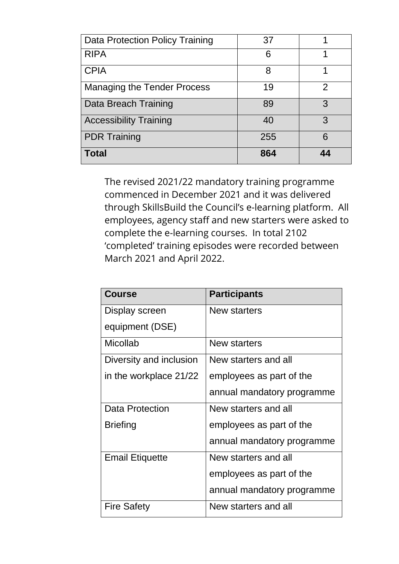| Data Protection Policy Training    | 37  |   |
|------------------------------------|-----|---|
| <b>RIPA</b>                        | 6   |   |
| <b>CPIA</b>                        | 8   |   |
| <b>Managing the Tender Process</b> | 19  | 2 |
| Data Breach Training               | 89  | 3 |
| <b>Accessibility Training</b>      | 40  | 3 |
| <b>PDR Training</b>                | 255 | 6 |
| <b>Total</b>                       | 864 |   |

The revised 2021/22 mandatory training programme commenced in December 2021 and it was delivered through SkillsBuild the Council's e-learning platform. All employees, agency staff and new starters were asked to complete the e-learning courses. In total 2102 'completed' training episodes were recorded between March 2021 and April 2022.

| <b>Course</b>           | <b>Participants</b>        |
|-------------------------|----------------------------|
| Display screen          | <b>New starters</b>        |
| equipment (DSE)         |                            |
| <b>Micollab</b>         | New starters               |
| Diversity and inclusion | New starters and all       |
| in the workplace 21/22  | employees as part of the   |
|                         | annual mandatory programme |
| <b>Data Protection</b>  | New starters and all       |
| <b>Briefing</b>         | employees as part of the   |
|                         | annual mandatory programme |
| <b>Email Etiquette</b>  | New starters and all       |
|                         | employees as part of the   |
|                         | annual mandatory programme |
| <b>Fire Safety</b>      | New starters and all       |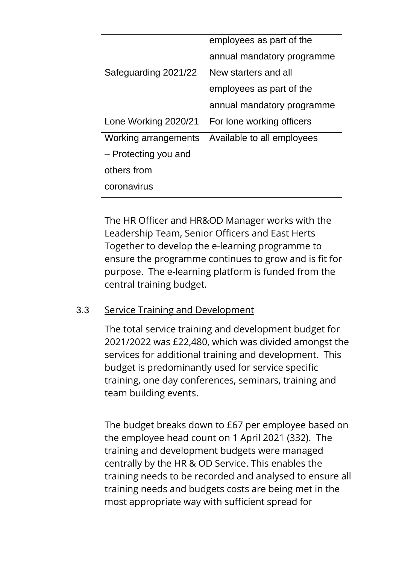|                      | employees as part of the   |
|----------------------|----------------------------|
|                      | annual mandatory programme |
| Safeguarding 2021/22 | New starters and all       |
|                      | employees as part of the   |
|                      | annual mandatory programme |
| Lone Working 2020/21 | For lone working officers  |
| Working arrangements | Available to all employees |
| - Protecting you and |                            |
| others from          |                            |
| coronavirus          |                            |

The HR Officer and HR&OD Manager works with the Leadership Team, Senior Officers and East Herts Together to develop the e-learning programme to ensure the programme continues to grow and is fit for purpose. The e-learning platform is funded from the central training budget.

#### 3.3 Service Training and Development

The total service training and development budget for 2021/2022 was £22,480, which was divided amongst the services for additional training and development. This budget is predominantly used for service specific training, one day conferences, seminars, training and team building events.

The budget breaks down to £67 per employee based on the employee head count on 1 April 2021 (332). The training and development budgets were managed centrally by the HR & OD Service. This enables the training needs to be recorded and analysed to ensure all training needs and budgets costs are being met in the most appropriate way with sufficient spread for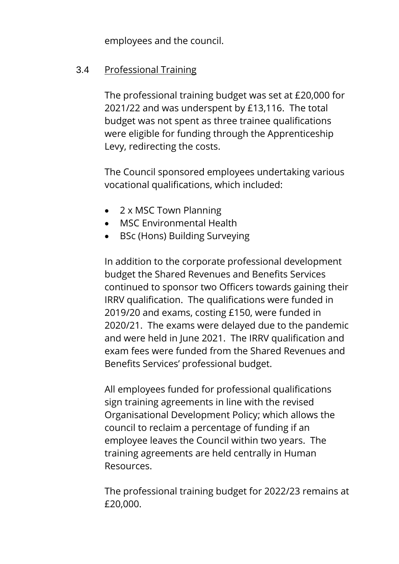employees and the council.

#### 3.4 Professional Training

The professional training budget was set at £20,000 for 2021/22 and was underspent by £13,116. The total budget was not spent as three trainee qualifications were eligible for funding through the Apprenticeship Levy, redirecting the costs.

The Council sponsored employees undertaking various vocational qualifications, which included:

- 2 x MSC Town Planning
- MSC Environmental Health
- BSc (Hons) Building Surveying

In addition to the corporate professional development budget the Shared Revenues and Benefits Services continued to sponsor two Officers towards gaining their IRRV qualification. The qualifications were funded in 2019/20 and exams, costing £150, were funded in 2020/21. The exams were delayed due to the pandemic and were held in June 2021. The IRRV qualification and exam fees were funded from the Shared Revenues and Benefits Services' professional budget.

All employees funded for professional qualifications sign training agreements in line with the revised Organisational Development Policy; which allows the council to reclaim a percentage of funding if an employee leaves the Council within two years. The training agreements are held centrally in Human Resources.

The professional training budget for 2022/23 remains at £20,000.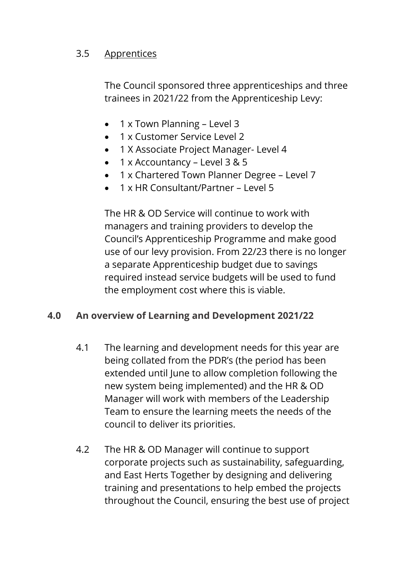# 3.5 Apprentices

The Council sponsored three apprenticeships and three trainees in 2021/22 from the Apprenticeship Levy:

- 1 x Town Planning Level 3
- 1 x Customer Service Level 2
- 1 X Associate Project Manager- Level 4
- $\bullet$  1 x Accountancy Level 3 & 5
- 1 x Chartered Town Planner Degree Level 7
- 1 x HR Consultant/Partner Level 5

The HR & OD Service will continue to work with managers and training providers to develop the Council's Apprenticeship Programme and make good use of our levy provision. From 22/23 there is no longer a separate Apprenticeship budget due to savings required instead service budgets will be used to fund the employment cost where this is viable.

#### **4.0 An overview of Learning and Development 2021/22**

- 4.1 The learning and development needs for this year are being collated from the PDR's (the period has been extended until June to allow completion following the new system being implemented) and the HR & OD Manager will work with members of the Leadership Team to ensure the learning meets the needs of the council to deliver its priorities.
- 4.2 The HR & OD Manager will continue to support corporate projects such as sustainability, safeguarding, and East Herts Together by designing and delivering training and presentations to help embed the projects throughout the Council, ensuring the best use of project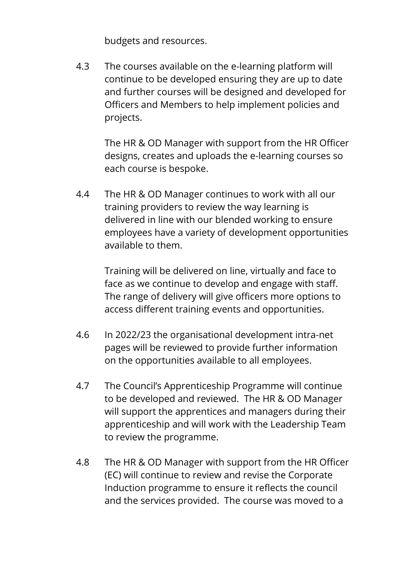budgets and resources.

4.3 The courses available on the e-learning platform will continue to be developed ensuring they are up to date and further courses will be designed and developed for Officers and Members to help implement policies and projects.

> The HR & OD Manager with support from the HR Officer designs, creates and uploads the e-learning courses so each course is bespoke.

4.4 The HR & OD Manager continues to work with all our training providers to review the way learning is delivered in line with our blended working to ensure employees have a variety of development opportunities available to them.

> Training will be delivered on line, virtually and face to face as we continue to develop and engage with staff. The range of delivery will give officers more options to access different training events and opportunities.

- 4.6 In 2022/23 the organisational development intra-net pages will be reviewed to provide further information on the opportunities available to all employees.
- 4.7 The Council's Apprenticeship Programme will continue to be developed and reviewed. The HR & OD Manager will support the apprentices and managers during their apprenticeship and will work with the Leadership Team to review the programme.
- 4.8 The HR & OD Manager with support from the HR Officer (EC) will continue to review and revise the Corporate Induction programme to ensure it reflects the council and the services provided. The course was moved to a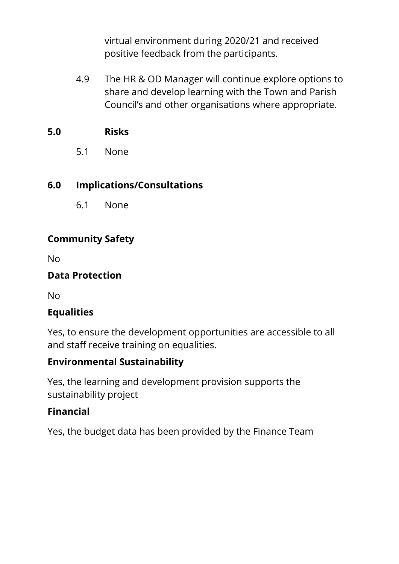virtual environment during 2020/21 and received positive feedback from the participants.

4.9 The HR & OD Manager will continue explore options to share and develop learning with the Town and Parish Council's and other organisations where appropriate.

#### **5.0 Risks**

5.1 None

# **6.0 Implications/Consultations**

6.1 None

# **Community Safety**

No

# **Data Protection**

No

# **Equalities**

Yes, to ensure the development opportunities are accessible to all and staff receive training on equalities.

#### **Environmental Sustainability**

Yes, the learning and development provision supports the sustainability project

# **Financial**

Yes, the budget data has been provided by the Finance Team